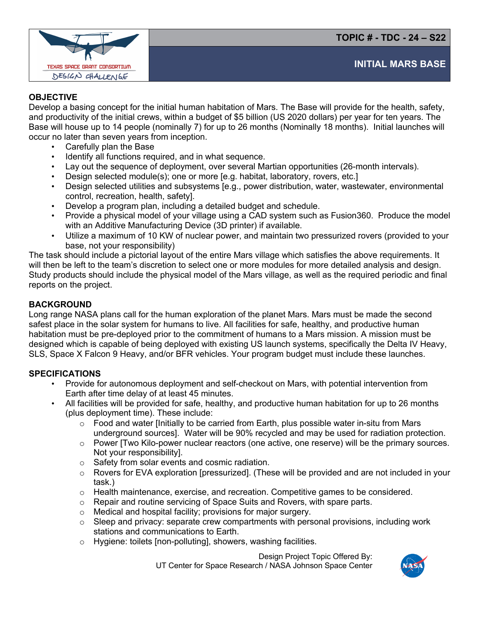**TOPIC # - TDC - 24 – S22**



## **OBJECTIVE**

Develop a basing concept for the initial human habitation of Mars. The Base will provide for the health, safety, and productivity of the initial crews, within a budget of \$5 billion (US 2020 dollars) per year for ten years. The Base will house up to 14 people (nominally 7) for up to 26 months (Nominally 18 months). Initial launches will occur no later than seven years from inception.

- Carefully plan the Base
- Identify all functions required, and in what sequence.
- Lay out the sequence of deployment, over several Martian opportunities (26-month intervals).
- Design selected module(s); one or more [e.g. habitat, laboratory, rovers, etc.]
- Design selected utilities and subsystems [e.g., power distribution, water, wastewater, environmental control, recreation, health, safety].
- Develop a program plan, including a detailed budget and schedule.
- Provide a physical model of your village using a CAD system such as Fusion360. Produce the model with an Additive Manufacturing Device (3D printer) if available.
- Utilize a maximum of 10 KW of nuclear power, and maintain two pressurized rovers (provided to your base, not your responsibility)

The task should include a pictorial layout of the entire Mars village which satisfies the above requirements. It will then be left to the team's discretion to select one or more modules for more detailed analysis and design. Study products should include the physical model of the Mars village, as well as the required periodic and final reports on the project.

## **BACKGROUND**

Long range NASA plans call for the human exploration of the planet Mars. Mars must be made the second safest place in the solar system for humans to live. All facilities for safe, healthy, and productive human habitation must be pre-deployed prior to the commitment of humans to a Mars mission. A mission must be designed which is capable of being deployed with existing US launch systems, specifically the Delta IV Heavy, SLS, Space X Falcon 9 Heavy, and/or BFR vehicles. Your program budget must include these launches.

## **SPECIFICATIONS**

- Provide for autonomous deployment and self-checkout on Mars, with potential intervention from Earth after time delay of at least 45 minutes.
- All facilities will be provided for safe, healthy, and productive human habitation for up to 26 months (plus deployment time). These include:
	- $\circ$  Food and water [Initially to be carried from Earth, plus possible water in-situ from Mars underground sources]. Water will be 90% recycled and may be used for radiation protection.
	- $\circ$  Power ITwo Kilo-power nuclear reactors (one active, one reserve) will be the primary sources. Not your responsibility].
	- o Safety from solar events and cosmic radiation.
	- o Rovers for EVA exploration [pressurized]. (These will be provided and are not included in your task.)
	- $\circ$  Health maintenance, exercise, and recreation. Competitive games to be considered.
	- o Repair and routine servicing of Space Suits and Rovers, with spare parts.
	- o Medical and hospital facility; provisions for major surgery.
	- $\circ$  Sleep and privacy: separate crew compartments with personal provisions, including work stations and communications to Earth.
	- o Hygiene: toilets [non-polluting], showers, washing facilities.

Design Project Topic Offered By: UT Center for Space Research / NASA Johnson Space Center